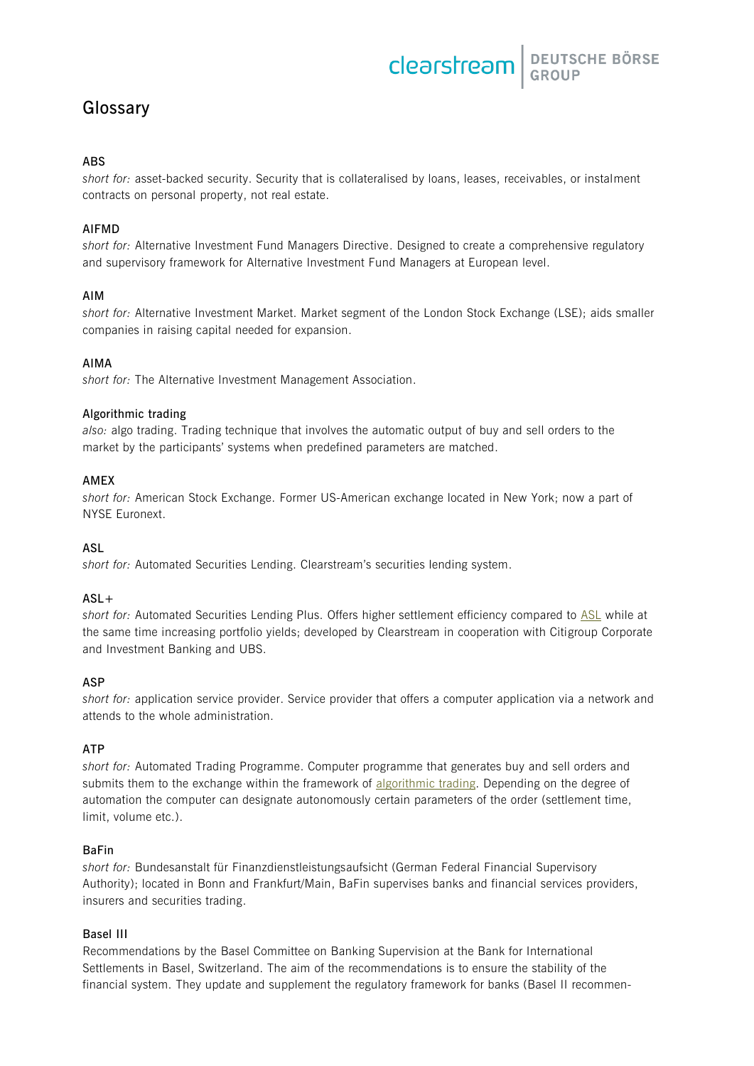DEUTSCHE BÖRSE clearstream

# <span id="page-0-2"></span>**Glossary**

# **ABS**

<span id="page-0-3"></span>*short for:* asset-backed security. Security that is collateralised by loans, leases, receivables, or instalment contracts on personal property, not real estate.

# **AIFMD**

*short for:* Alternative Investment Fund Managers Directive. Designed to create a comprehensive regulatory and supervisory framework for Alternative Investment Fund Managers at European level.

# **AIM**

*short for:* Alternative Investment Market. Market segment of the London Stock Exchange (LSE); aids smaller companies in raising capital needed for expansion.

# **AIMA**

*short for:* The Alternative Investment Management Association.

# <span id="page-0-1"></span>**Algorithmic trading**

*also:* algo trading. Trading technique that involves the automatic output of buy and sell orders to the market by the participants' systems when predefined parameters are matched.

# **AMEX**

*short for:* American Stock Exchange. Former US-American exchange located in New York; now a part of NYSE Euronext.

# <span id="page-0-0"></span>**ASL**

*short for:* Automated Securities Lending. Clearstream's securities lending system.

# **ASL+**

*short for:* Automated Securities Lending Plus. Offers higher settlement efficiency compared to [ASL](#page-0-0) while at the same time increasing portfolio yields; developed by Clearstream in cooperation with Citigroup Corporate and Investment Banking and UBS.

# **ASP**

*short for:* application service provider. Service provider that offers a computer application via a network and attends to the whole administration.

# **ATP**

*short for:* Automated Trading Programme. Computer programme that generates buy and sell orders and submits them to the exchange within the framework of [algorithmic trading.](#page-0-1) Depending on the degree of automation the computer can designate autonomously certain parameters of the order (settlement time, limit, volume etc.).

# **BaFin**

*short for:* Bundesanstalt für Finanzdienstleistungsaufsicht (German Federal Financial Supervisory Authority); located in Bonn and Frankfurt/Main, BaFin supervises banks and financial services providers, insurers and securities trading.

# **Basel III**

Recommendations by the Basel Committee on Banking Supervision at the Bank for International Settlements in Basel, Switzerland. The aim of the recommendations is to ensure the stability of the financial system. They update and supplement the regulatory framework for banks (Basel II recommen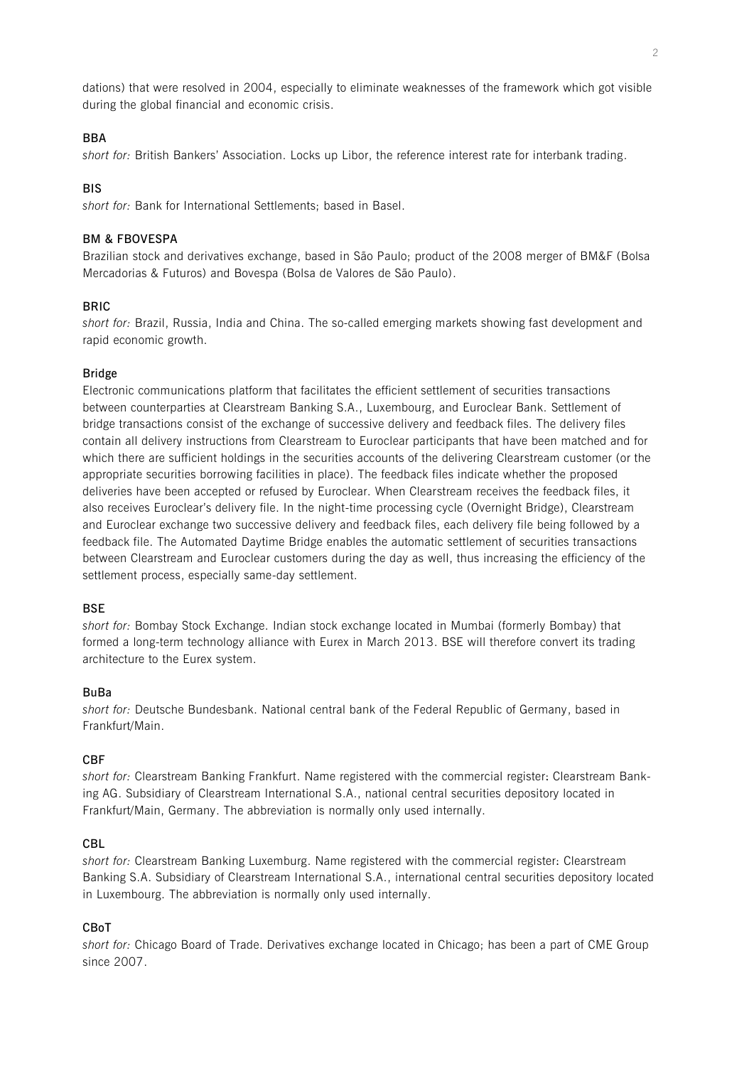dations) that were resolved in 2004, especially to eliminate weaknesses of the framework which got visible during the global financial and economic crisis.

## **BBA**

*short for:* British Bankers' Association. Locks up Libor, the reference interest rate for interbank trading.

## **BIS**

*short for:* Bank for International Settlements; based in Basel.

### **BM & FBOVESPA**

Brazilian stock and derivatives exchange, based in São Paulo; product of the 2008 merger of BM&F (Bolsa Mercadorias & Futuros) and Bovespa (Bolsa de Valores de São Paulo).

## **BRIC**

*short for:* Brazil, Russia, India and China. The so-called emerging markets showing fast development and rapid economic growth.

### **Bridge**

Electronic communications platform that facilitates the efficient settlement of securities transactions between counterparties at Clearstream Banking S.A., Luxembourg, and Euroclear Bank. Settlement of bridge transactions consist of the exchange of successive delivery and feedback files. The delivery files contain all delivery instructions from Clearstream to Euroclear participants that have been matched and for which there are sufficient holdings in the securities accounts of the delivering Clearstream customer (or the appropriate securities borrowing facilities in place). The feedback files indicate whether the proposed deliveries have been accepted or refused by Euroclear. When Clearstream receives the feedback files, it also receives Euroclear's delivery file. In the night-time processing cycle (Overnight Bridge), Clearstream and Euroclear exchange two successive delivery and feedback files, each delivery file being followed by a feedback file. The Automated Daytime Bridge enables the automatic settlement of securities transactions between Clearstream and Euroclear customers during the day as well, thus increasing the efficiency of the settlement process, especially same-day settlement.

## **BSE**

*short for:* Bombay Stock Exchange. Indian stock exchange located in Mumbai (formerly Bombay) that formed a long-term technology alliance with Eurex in March 2013. BSE will therefore convert its trading architecture to the Eurex system.

### <span id="page-1-0"></span>**BuBa**

*short for:* Deutsche Bundesbank. National central bank of the Federal Republic of Germany, based in Frankfurt/Main.

# **CBF**

*short for:* Clearstream Banking Frankfurt. Name registered with the commercial register: Clearstream Banking AG. Subsidiary of Clearstream International S.A., national central securities depository located in Frankfurt/Main, Germany. The abbreviation is normally only used internally.

## **CBL**

*short for:* Clearstream Banking Luxemburg. Name registered with the commercial register: Clearstream Banking S.A. Subsidiary of Clearstream International S.A., international central securities depository located in Luxembourg. The abbreviation is normally only used internally.

### **CBoT**

*short for:* Chicago Board of Trade. Derivatives exchange located in Chicago; has been a part of CME Group since 2007.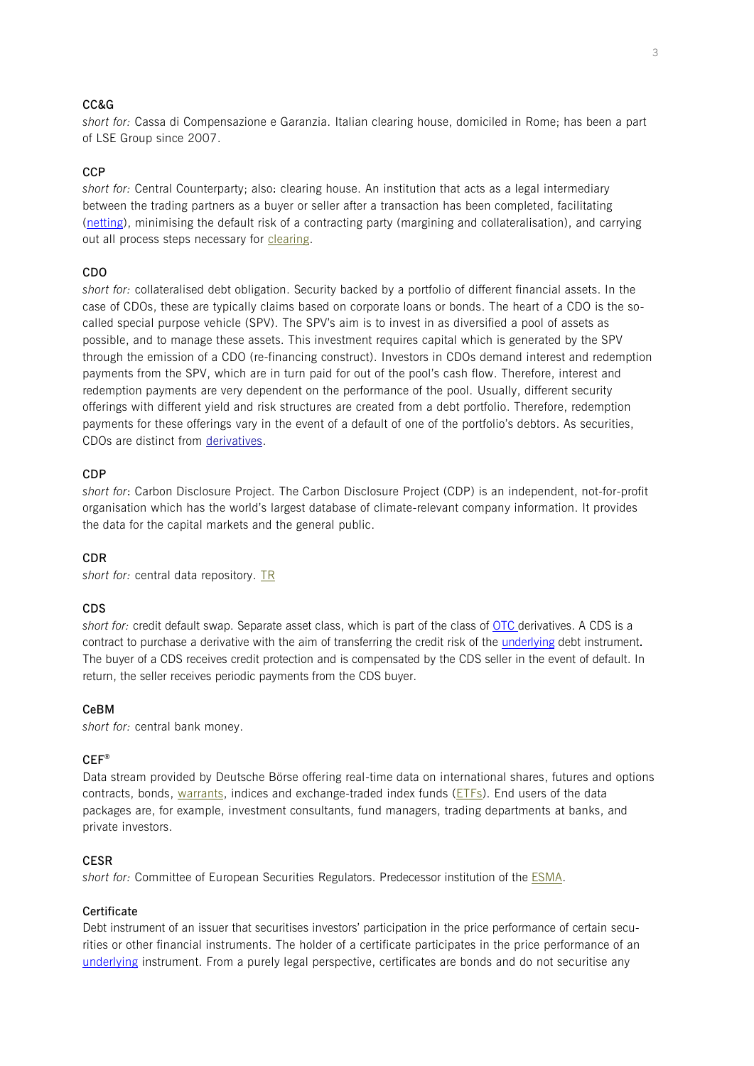## **CC&G**

*short for:* Cassa di Compensazione e Garanzia. Italian clearing house, domiciled in Rome; has been a part of LSE Group since 2007.

## <span id="page-2-0"></span>**CCP**

*short for:* Central Counterparty; also: clearing house. An institution that acts as a legal intermediary between the trading partners as a buyer or seller after a transaction has been completed, facilitating [\(netting\)](#page-12-0), minimising the default risk of a contracting party (margining and collateralisation), and carrying out all process steps necessary for [clearing.](#page-3-0)

# <span id="page-2-1"></span>**CDO**

*short for:* collateralised debt obligation. Security backed by a portfolio of different financial assets. In the case of CDOs, these are typically claims based on corporate loans or bonds. The heart of a CDO is the socalled special purpose vehicle (SPV). The SPV's aim is to invest in as diversified a pool of assets as possible, and to manage these assets. This investment requires capital which is generated by the SPV through the emission of a CDO (re-financing construct). Investors in CDOs demand interest and redemption payments from the SPV, which are in turn paid for out of the pool's cash flow. Therefore, interest and redemption payments are very dependent on the performance of the pool. Usually, different security offerings with different yield and risk structures are created from a debt portfolio. Therefore, redemption payments for these offerings vary in the event of a default of one of the portfolio's debtors. As securities, CDOs are distinct from [derivatives.](#page-5-0)

### **CDP**

*short for*: Carbon Disclosure Project. The Carbon Disclosure Project (CDP) is an independent, not-for-profit organisation which has the world's largest database of climate-relevant company information. It provides the data for the capital markets and the general public.

### **CDR**

*short for:* central data repository. [TR](#page-15-0)

### <span id="page-2-2"></span>**CDS**

*short for:* credit default swap. Separate asset class, which is part of the class of [OTC](#page-13-0) derivatives. A CDS is a contract to purchase a derivative with the aim of transferring the credit risk of the [underlying](#page-16-0) debt instrument**.**  The buyer of a CDS receives credit protection and is compensated by the CDS seller in the event of default. In return, the seller receives periodic payments from the CDS buyer.

#### **CeBM**

*short for:* central bank money.

### **CEF®**

Data stream provided by Deutsche Börse offering real-time data on international shares, futures and options contracts, bonds, [warrants,](#page-16-1) indices and exchange-traded index funds [\(ETFs\)](#page-7-0). End users of the data packages are, for example, investment consultants, fund managers, trading departments at banks, and private investors.

### **CESR**

*short for:* Committee of European Securities Regulators. Predecessor institution of the [ESMA.](#page-7-1)

## **Certificate**

Debt instrument of an issuer that securitises investors' participation in the price performance of certain securities or other financial instruments. The holder of a certificate participates in the price performance of an [underlying](#page-16-0) instrument. From a purely legal perspective, certificates are bonds and do not securitise any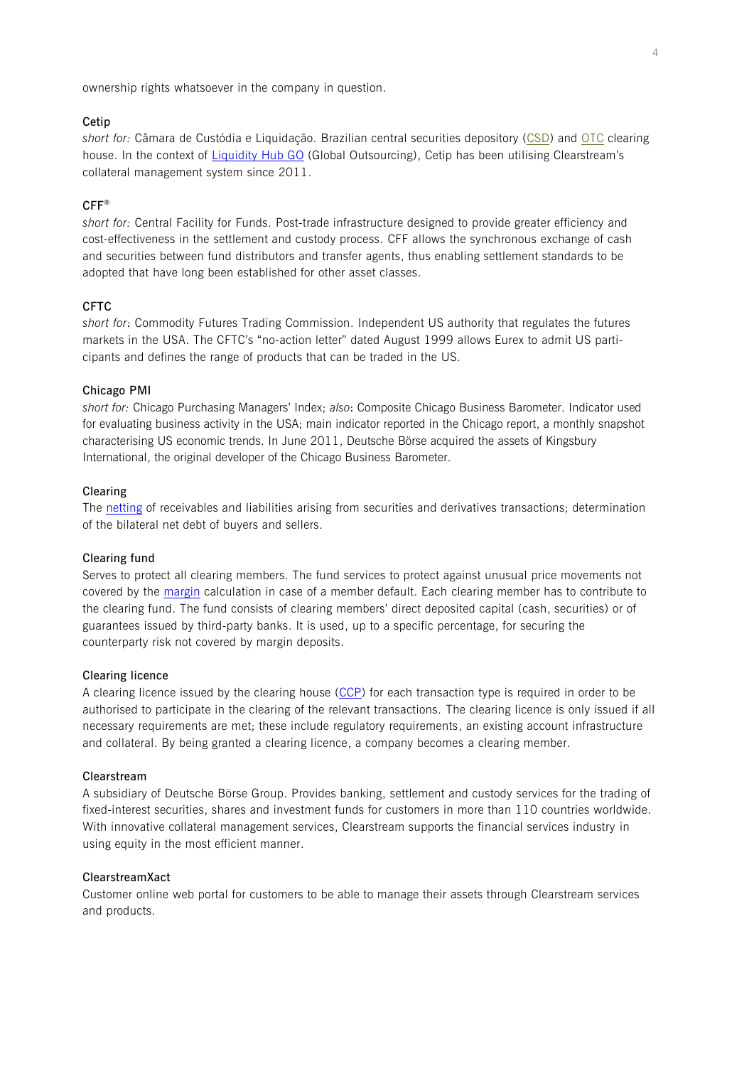ownership rights whatsoever in the company in question.

## **Cetip**

*short for:* Câmara de Custódia e Liquidação. Brazilian central securities depository [\(CSD\)](#page-4-0) and [OTC](#page-13-0) clearing house. In the context of [Liquidity Hub](#page-10-0) GO (Global Outsourcing), Cetip has been utilising Clearstream's collateral management system since 2011.

## **CFF®**

*short for:* Central Facility for Funds. Post-trade infrastructure designed to provide greater efficiency and cost-effectiveness in the settlement and custody process. CFF allows the synchronous exchange of cash and securities between fund distributors and transfer agents, thus enabling settlement standards to be adopted that have long been established for other asset classes.

## <span id="page-3-3"></span>**CFTC**

*short for*: Commodity Futures Trading Commission. Independent US authority that regulates the futures markets in the USA. The CFTC's "no-action letter" dated August 1999 allows Eurex to admit US participants and defines the range of products that can be traded in the US.

### **Chicago PMI**

*short for:* Chicago Purchasing Managers' Index; *also*: Composite Chicago Business Barometer. Indicator used for evaluating business activity in the USA; main indicator reported in the Chicago report, a monthly snapshot characterising US economic trends. In June 2011, Deutsche Börse acquired the assets of Kingsbury International, the original developer of the Chicago Business Barometer.

## <span id="page-3-0"></span>**Clearing**

The [netting](#page-12-0) of receivables and liabilities arising from securities and derivatives transactions; determination of the bilateral net debt of buyers and sellers.

#### **Clearing fund**

Serves to protect all clearing members. The fund services to protect against unusual price movements not covered by the [margin](#page-11-0) calculation in case of a member default. Each clearing member has to contribute to the clearing fund. The fund consists of clearing members' direct deposited capital (cash, securities) or of guarantees issued by third-party banks. It is used, up to a specific percentage, for securing the counterparty risk not covered by margin deposits.

### <span id="page-3-2"></span>**Clearing licence**

A clearing licence issued by the clearing house [\(CCP\)](#page-2-0) for each transaction type is required in order to be authorised to participate in the clearing of the relevant transactions. The clearing licence is only issued if all necessary requirements are met; these include regulatory requirements, an existing account infrastructure and collateral. By being granted a clearing licence, a company becomes a clearing member.

### **Clearstream**

A subsidiary of Deutsche Börse Group. Provides banking, settlement and custody services for the trading of fixed-interest securities, shares and investment funds for customers in more than 110 countries worldwide. With innovative collateral management services, Clearstream supports the financial services industry in using equity in the most efficient manner.

### <span id="page-3-1"></span>**ClearstreamXact**

Customer online web portal for customers to be able to manage their assets through Clearstream services and products.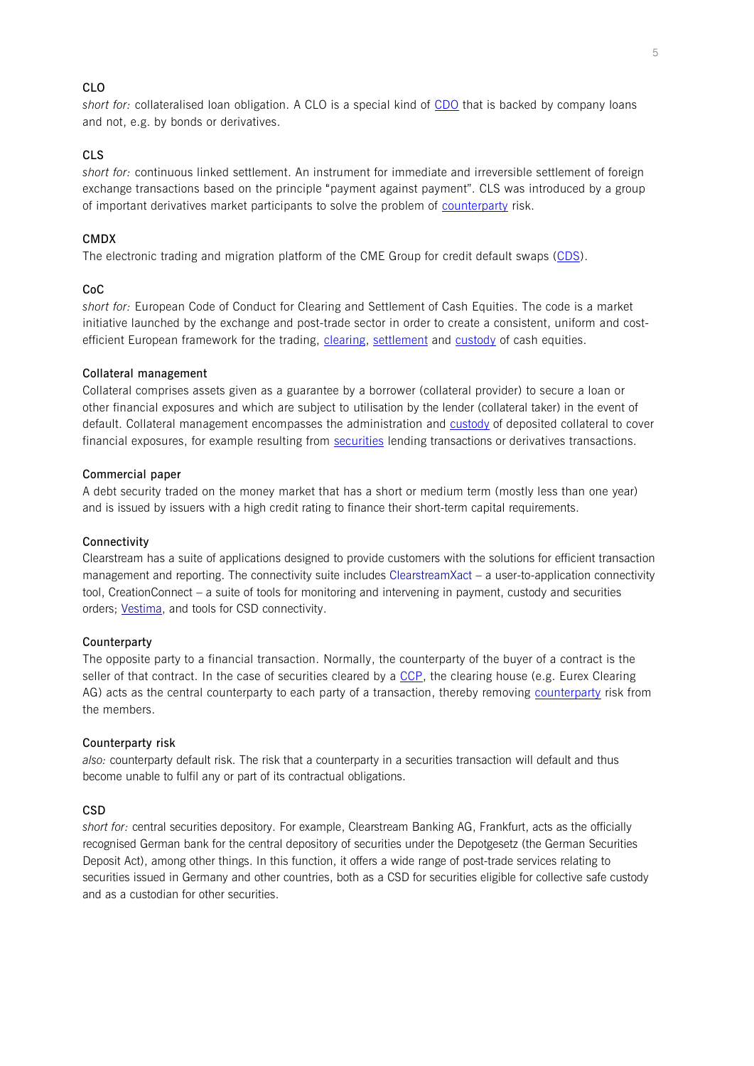# **CLO**

*short for:* collateralised loan obligation. A CLO is a special kind of [CDO](#page-2-1) that is backed by company loans and not, e.g. by bonds or derivatives.

# **CLS**

*short for:* continuous linked settlement. An instrument for immediate and irreversible settlement of foreign exchange transactions based on the principle "payment against payment". CLS was introduced by a group of important derivatives market participants to solve the problem of [counterparty](#page-4-1) risk.

### **CMDX**

The electronic trading and migration platform of the CME Group for credit default swaps [\(CDS\)](#page-2-2).

### **CoC**

*short for:* European Code of Conduct for Clearing and Settlement of Cash Equities. The code is a market initiative launched by the exchange and post-trade sector in order to create a consistent, uniform and costefficient European framework for the trading, [clearing,](#page-3-0) [settlement](#page-14-0) and [custody](#page-5-1) of cash equities.

### <span id="page-4-2"></span>**Collateral management**

Collateral comprises assets given as a guarantee by a borrower (collateral provider) to secure a loan or other financial exposures and which are subject to utilisation by the lender (collateral taker) in the event of default. Collateral management encompasses the administration and [custody](#page-5-1) of deposited collateral to cover financial exposures, for example resulting from [securities](#page-14-1) lending transactions or derivatives transactions.

#### **Commercial paper**

A debt security traded on the money market that has a short or medium term (mostly less than one year) and is issued by issuers with a high credit rating to finance their short-term capital requirements.

#### **Connectivity**

Clearstream has a suite of applications designed to provide customers with the solutions for efficient transaction management and reporting. The connectivity suite includes [ClearstreamXact](#page-3-1) – a user-to-application connectivity tool, CreationConnect – a suite of tools for monitoring and intervening in payment, custody and securities orders; [Vestima,](#page-16-2) and tools for CSD connectivity.

## **Counterparty**

The opposite party to a financial transaction. Normally, the counterparty of the buyer of a contract is the seller of that contract. In the case of securities cleared by a [CCP,](#page-2-0) the clearing house (e.g. Eurex Clearing AG) acts as the central counterparty to each party of a transaction, thereby removing [counterparty](#page-4-1) risk from the members.

#### <span id="page-4-1"></span>**Counterparty risk**

*also:* counterparty default risk. The risk that a counterparty in a securities transaction will default and thus become unable to fulfil any or part of its contractual obligations.

### <span id="page-4-0"></span>**CSD**

*short for:* central securities depository. For example, Clearstream Banking AG, Frankfurt, acts as the officially recognised German bank for the central depository of securities under the Depotgesetz (the German Securities Deposit Act), among other things. In this function, it offers a wide range of post-trade services relating to securities issued in Germany and other countries, both as a CSD for securities eligible for collective safe custody and as a custodian for other securities.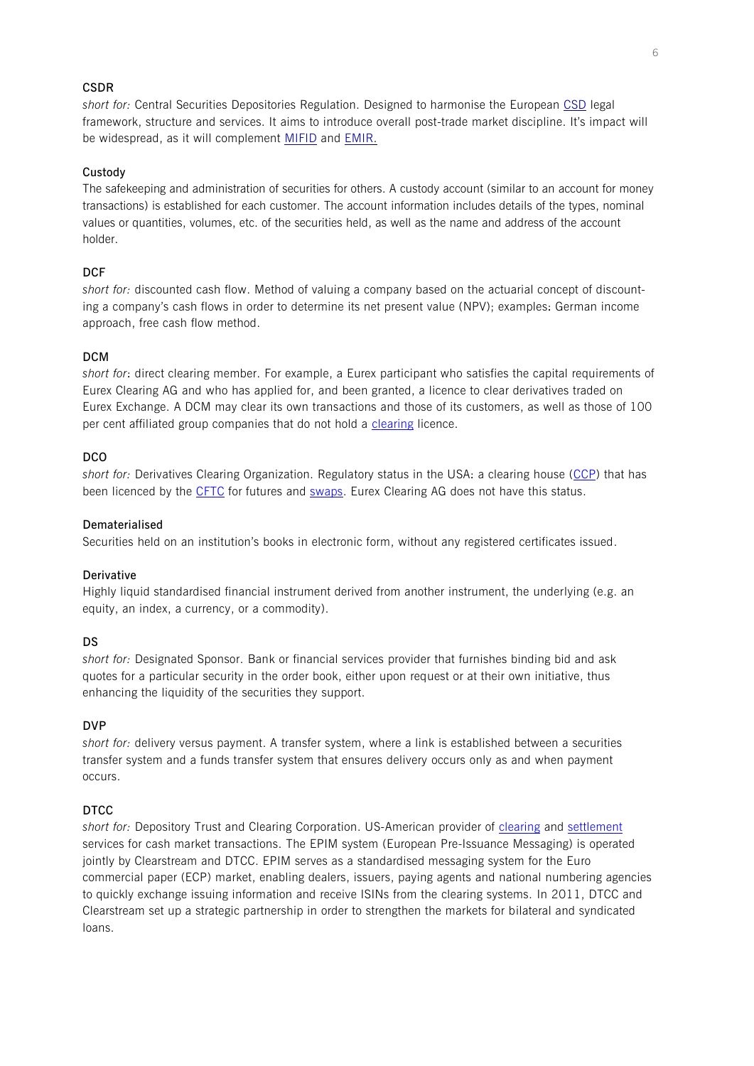## **CSDR**

*short for:* Central Securities Depositories Regulation. Designed to harmonise the European [CSD](#page-4-0) legal framework, structure and services. It aims to introduce overall post-trade market discipline. It's impact will be widespread, as it will complement [MIFID](#page-11-1) and [EMIR.](#page-6-0)

### <span id="page-5-1"></span>**Custody**

The safekeeping and administration of securities for others. A custody account (similar to an account for money transactions) is established for each customer. The account information includes details of the types, nominal values or quantities, volumes, etc. of the securities held, as well as the name and address of the account holder.

## **DCF**

*short for:* discounted cash flow. Method of valuing a company based on the actuarial concept of discounting a company's cash flows in order to determine its net present value (NPV); examples: German income approach, free cash flow method.

## <span id="page-5-4"></span>**DCM**

*short for*: direct clearing member. For example, a Eurex participant who satisfies the capital requirements of Eurex Clearing AG and who has applied for, and been granted, a licence to clear derivatives traded on Eurex Exchange. A DCM may clear its own transactions and those of its customers, as well as those of 100 per cent affiliated group companies that do not hold a [clearing](#page-3-2) licence.

### **DCO**

*short for:* Derivatives Clearing Organization. Regulatory status in the USA: a clearing house [\(CCP\)](#page-2-0) that has been licenced by the [CFTC](#page-3-3) for futures and [swaps.](#page-15-1) Eurex Clearing AG does not have this status.

## **Dematerialised**

Securities held on an institution's books in electronic form, without any registered certificates issued.

### <span id="page-5-0"></span>**Derivative**

Highly liquid standardised financial instrument derived from another instrument, the underlying (e.g. an equity, an index, a currency, or a commodity).

## **DS**

*short for:* Designated Sponsor. Bank or financial services provider that furnishes binding bid and ask quotes for a particular security in the order book, either upon request or at their own initiative, thus enhancing the liquidity of the securities they support.

### <span id="page-5-3"></span>**DVP**

*short for:* delivery versus payment. A transfer system, where a link is established between a securities transfer system and a funds transfer system that ensures delivery occurs only as and when payment occurs.

## **DTCC**

<span id="page-5-2"></span>*short for:* Depository Trust and Clearing Corporation. US-American provider of [clearing](#page-3-0) and [settlement](#page-14-0) services for cash market transactions. The EPIM system (European Pre-Issuance Messaging) is operated jointly by Clearstream and DTCC. EPIM serves as a standardised messaging system for the Euro commercial paper (ECP) market, enabling dealers, issuers, paying agents and national numbering agencies to quickly exchange issuing information and receive ISINs from the clearing systems. In 2011, DTCC and Clearstream set up a strategic partnership in order to strengthen the markets for bilateral and syndicated loans.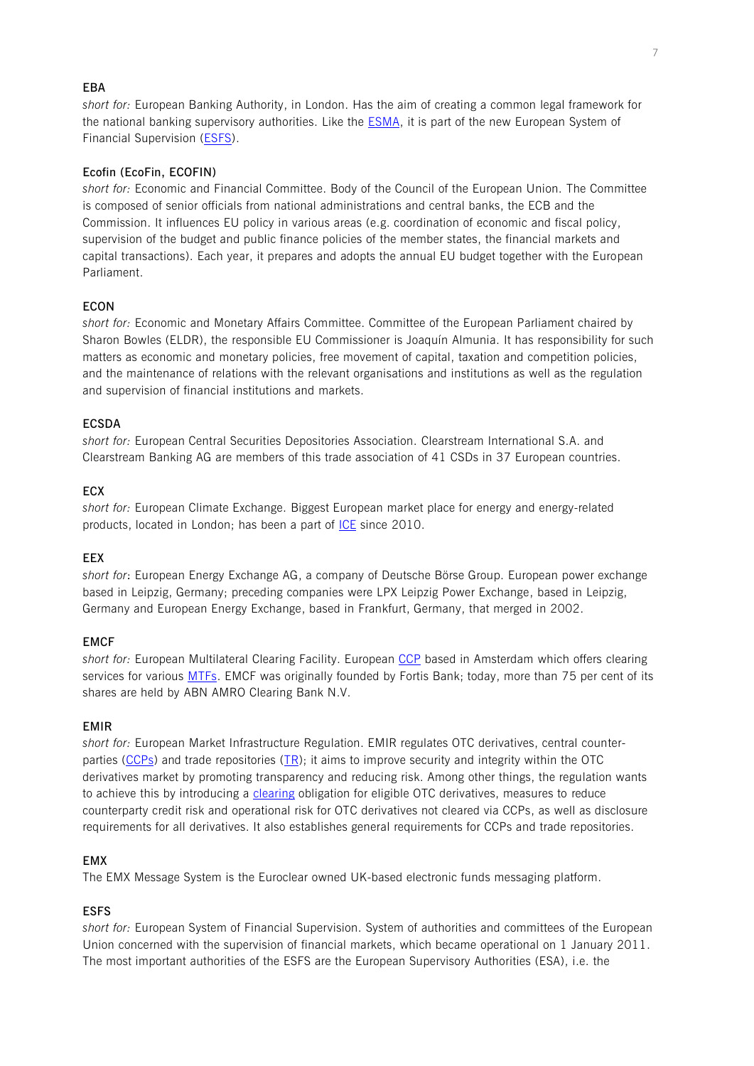## **EBA**

*short for:* European Banking Authority, in London. Has the aim of creating a common legal framework for the national banking supervisory authorities. Like the **ESMA**, it is part of the new European System of Financial Supervision [\(ESFS\)](#page-6-1).

# **Ecofin (EcoFin, ECOFIN)**

*short for:* Economic and Financial Committee. Body of the Council of the European Union. The Committee is composed of senior officials from national administrations and central banks, the ECB and the Commission. It influences EU policy in various areas (e.g. coordination of economic and fiscal policy, supervision of the budget and public finance policies of the member states, the financial markets and capital transactions). Each year, it prepares and adopts the annual EU budget together with the European Parliament.

## **ECON**

*short for:* Economic and Monetary Affairs Committee. Committee of the European Parliament chaired by Sharon Bowles (ELDR), the responsible EU Commissioner is Joaquín Almunia. It has responsibility for such matters as economic and monetary policies, free movement of capital, taxation and competition policies, and the maintenance of relations with the relevant organisations and institutions as well as the regulation and supervision of financial institutions and markets.

## **ECSDA**

*short for:* European Central Securities Depositories Association. Clearstream International S.A. and Clearstream Banking AG are members of this trade association of 41 CSDs in 37 European countries.

# **ECX**

*short for:* European Climate Exchange. Biggest European market place for energy and energy-related products, located in London; has been a part of [ICE](#page-9-0) since 2010.

### **EEX**

*short for*: European Energy Exchange AG, a company of Deutsche Börse Group. European power exchange based in Leipzig, Germany; preceding companies were LPX Leipzig Power Exchange, based in Leipzig, Germany and European Energy Exchange, based in Frankfurt, Germany, that merged in 2002.

## **EMCF**

*short for:* European Multilateral Clearing Facility. European [CCP](#page-2-0) based in Amsterdam which offers clearing services for various **MTFs**. EMCF was originally founded by Fortis Bank; today, more than 75 per cent of its shares are held by ABN AMRO Clearing Bank N.V.

## <span id="page-6-0"></span>**EMIR**

*short for:* European Market Infrastructure Regulation. EMIR regulates OTC derivatives, central counterparties [\(CCPs\)](#page-2-0) and trade repositories [\(TR\)](#page-15-0); it aims to improve security and integrity within the OTC derivatives market by promoting transparency and reducing risk. Among other things, the regulation wants to achieve this by introducing a [clearing](#page-3-0) obligation for eligible OTC derivatives, measures to reduce counterparty credit risk and operational risk for OTC derivatives not cleared via CCPs, as well as disclosure requirements for all derivatives. It also establishes general requirements for CCPs and trade repositories.

## **EMX**

The EMX Message System is the Euroclear owned UK-based electronic funds messaging platform.

## <span id="page-6-1"></span>**ESFS**

*short for:* European System of Financial Supervision. System of authorities and committees of the European Union concerned with the supervision of financial markets, which became operational on 1 January 2011. The most important authorities of the ESFS are the European Supervisory Authorities (ESA), i.e. the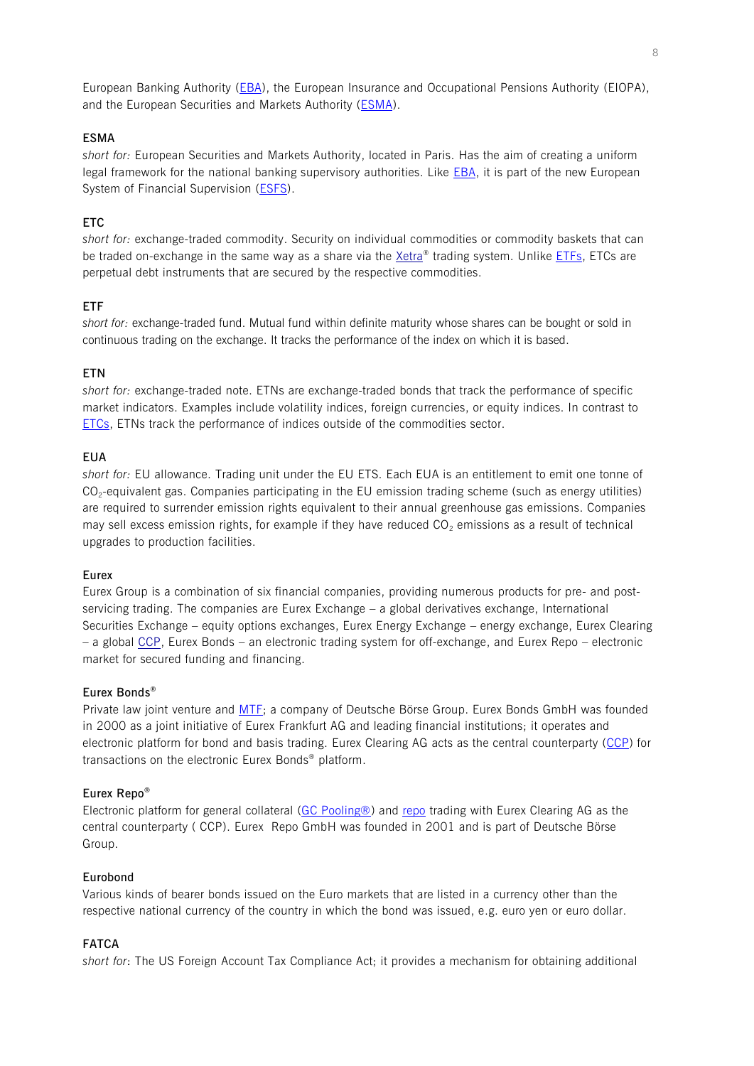European Banking Authority [\(EBA\)](#page-5-2), the European Insurance and Occupational Pensions Authority (EIOPA), and the European Securities and Markets Authority [\(ESMA\)](#page-7-1).

### <span id="page-7-1"></span>**ESMA**

*short for:* European Securities and Markets Authority, located in Paris. Has the aim of creating a uniform legal framework for the national banking supervisory authorities. Like **EBA**, it is part of the new European System of Financial Supervision [\(ESFS\)](#page-6-1).

## <span id="page-7-2"></span>**ETC**

*short for:* exchange-traded commodity. Security on individual commodities or commodity baskets that can be traded on-exchange in the same way as a share via the [Xetra](#page-16-3)® trading system. Unlike [ETFs,](#page-7-0) ETCs are perpetual debt instruments that are secured by the respective commodities.

## <span id="page-7-0"></span>**ETF**

*short for:* exchange-traded fund. Mutual fund within definite maturity whose shares can be bought or sold in continuous trading on the exchange. It tracks the performance of the index on which it is based.

### **ETN**

*short for:* exchange-traded note. ETNs are exchange-traded bonds that track the performance of specific market indicators. Examples include volatility indices, foreign currencies, or equity indices. In contrast to [ETCs,](#page-7-2) ETNs track the performance of indices outside of the commodities sector.

### **EUA**

*short for:* EU allowance. Trading unit under the EU ETS. Each EUA is an entitlement to emit one tonne of  $CO_2$ -equivalent gas. Companies participating in the EU emission trading scheme (such as energy utilities) are required to surrender emission rights equivalent to their annual greenhouse gas emissions. Companies may sell excess emission rights, for example if they have reduced  $CO<sub>2</sub>$  emissions as a result of technical upgrades to production facilities.

### <span id="page-7-4"></span>**Eurex**

Eurex Group is a combination of six financial companies, providing numerous products for pre- and postservicing trading. The companies are Eurex Exchange – a global derivatives exchange, International Securities Exchange – equity options exchanges, Eurex Energy Exchange – energy exchange, Eurex Clearing – a global [CCP,](#page-2-0) Eurex Bonds – an electronic trading system for off-exchange, and Eurex Repo – electronic market for secured funding and financing.

### **Eurex Bonds®**

Private law joint venture and [MTF;](#page-12-1) a company of Deutsche Börse Group. Eurex Bonds GmbH was founded in 2000 as a joint initiative of Eurex Frankfurt AG and leading financial institutions; it operates and electronic platform for bond and basis trading. Eurex Clearing AG acts as the central counterparty [\(CCP\)](#page-2-0) for transactions on the electronic Eurex Bonds® platform.

### <span id="page-7-5"></span>**Eurex Repo®**

Electronic platform for general collateral [\(GC Pooling®\)](#page-9-1) and [repo](#page-13-1) trading with Eurex Clearing AG as the central counterparty ( [CCP\)](#page-2-0). Eurex Repo GmbH was founded in 2001 and is part of Deutsche Börse Group.

### **Eurobond**

Various kinds of bearer bonds issued on the Euro markets that are listed in a currency other than the respective national currency of the country in which the bond was issued, e.g. euro yen or euro dollar.

# <span id="page-7-3"></span>**FATCA**

*short for*: The US Foreign Account Tax Compliance Act; it provides a mechanism for obtaining additional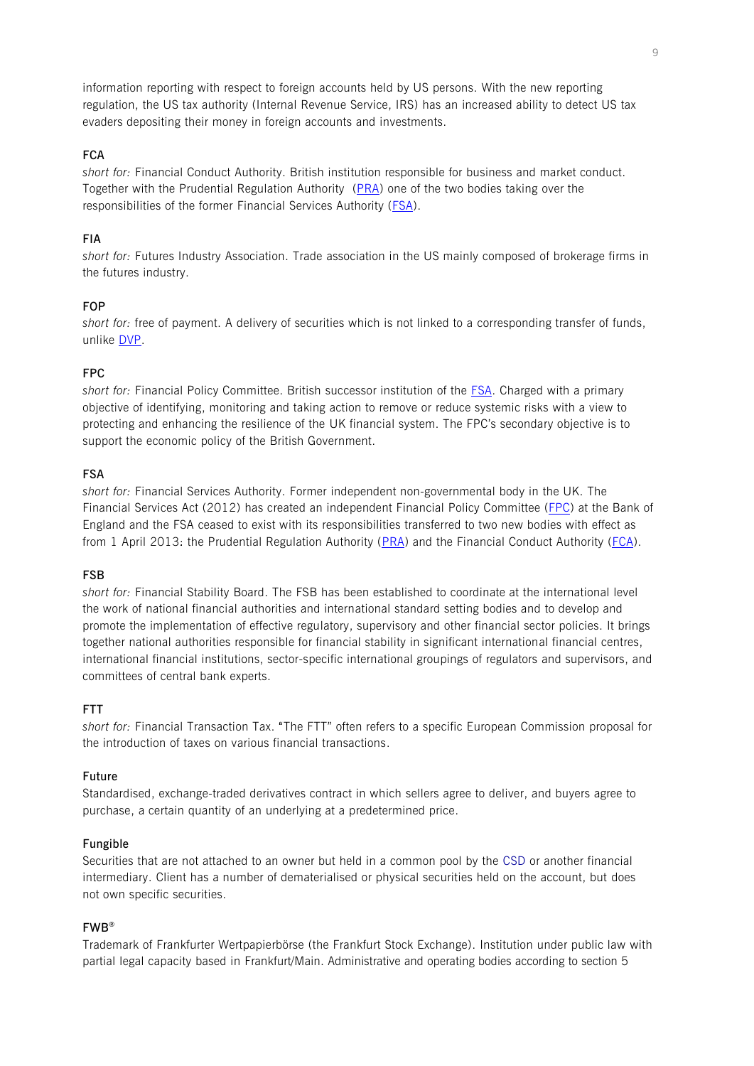information reporting with respect to foreign accounts held by US persons. With the new reporting regulation, the US tax authority (Internal Revenue Service, IRS) has an increased ability to detect US tax evaders depositing their money in foreign accounts and investments.

# **FCA**

*short for:* Financial Conduct Authority. British institution responsible for business and market conduct. Together with the Prudential Regulation Authority [\(PRA\)](#page-13-2) one of the two bodies taking over the responsibilities of the former Financial Services Authority [\(FSA\)](#page-8-0).

# **FIA**

*short for:* Futures Industry Association. Trade association in the US mainly composed of brokerage firms in the futures industry.

## <span id="page-8-1"></span>**FOP**

*short for:* free of payment. A delivery of securities which is not linked to a corresponding transfer of funds, unlike [DVP.](#page-5-3)

## **FPC**

*short for:* Financial Policy Committee. British successor institution of the [FSA.](#page-8-0) Charged with a primary objective of identifying, monitoring and taking action to remove or reduce systemic risks with a view to protecting and enhancing the resilience of the UK financial system. The FPC's secondary objective is to support the economic policy of the British Government.

## <span id="page-8-0"></span>**FSA**

*short for:* Financial Services Authority. Former independent non-governmental body in the UK. The Financial Services Act (2012) has created an independent Financial Policy Committee [\(FPC\)](#page-8-1) at the Bank of England and the FSA ceased to exist with its responsibilities transferred to two new bodies with effect as from 1 April 2013: the Prudential Regulation Authority [\(PRA\)](#page-13-2) and the Financial Conduct Authority [\(FCA\)](#page-7-3).

## **FSB**

*short for:* Financial Stability Board. The FSB has been established to coordinate at the international level the work of national financial authorities and international standard setting bodies and to develop and promote the implementation of effective regulatory, supervisory and other financial sector policies. It brings together national authorities responsible for financial stability in significant international financial centres, international financial institutions, sector-specific international groupings of regulators and supervisors, and committees of central bank experts.

### **FTT**

*short for:* Financial Transaction Tax. "The FTT" often refers to a specific European Commission proposal for the introduction of taxes on various financial transactions.

## **Future**

Standardised, exchange-traded derivatives contract in which sellers agree to deliver, and buyers agree to purchase, a certain quantity of an underlying at a predetermined price.

### **Fungible**

Securities that are not attached to an owner but held in a common pool by the [CSD](#page-4-0) or another financial intermediary. Client has a number of dematerialised or physical securities held on the account, but does not own specific securities.

## <span id="page-8-2"></span>**FWB®**

Trademark of Frankfurter Wertpapierbörse (the Frankfurt Stock Exchange). Institution under public law with partial legal capacity based in Frankfurt/Main. Administrative and operating bodies according to section 5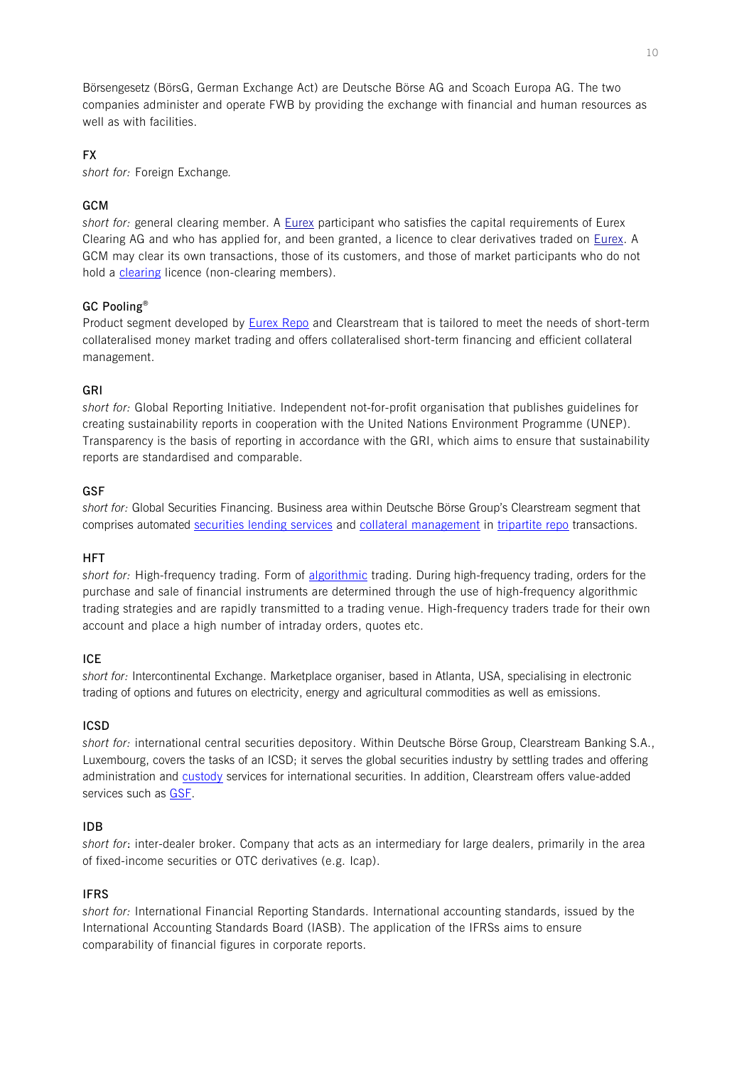Börsengesetz (BörsG, German Exchange Act) are Deutsche Börse AG and Scoach Europa AG. The two companies administer and operate FWB by providing the exchange with financial and human resources as well as with facilities.

# **FX**

*short for:* Foreign Exchange*.*

# <span id="page-9-3"></span>**GCM**

short for: general clearing member. A **Eurex** participant who satisfies the capital requirements of [Eurex](#page-7-4) Clearing AG and who has applied for, and been granted, a licence to clear derivatives traded on [Eurex.](#page-7-4) A GCM may clear its own transactions, those of its customers, and those of market participants who do not hold a [clearing](#page-3-2) licence (non-clearing members).

# <span id="page-9-1"></span>**GC Pooling®**

Product segment developed by [Eurex Repo](#page-7-5) and Clearstream that is tailored to meet the needs of short-term collateralised money market trading and offers collateralised short-term financing and efficient collateral management.

# **GRI**

*short for:* Global Reporting Initiative. Independent not-for-profit organisation that publishes guidelines for creating sustainability reports in cooperation with the United Nations Environment Programme (UNEP). Transparency is the basis of reporting in accordance with the GRI, which aims to ensure that sustainability reports are standardised and comparable.

# <span id="page-9-2"></span>**GSF**

*short for:* Global Securities Financing. Business area within Deutsche Börse Group's Clearstream segment that comprises automated [securities lending](#page-14-1) services and [collateral management](#page-4-2) in [tripartite repo](#page-15-2) transactions.

# **HFT**

*short for:* High-frequency trading. Form of [algorithmic](#page-0-1) trading. During high-frequency trading, orders for the purchase and sale of financial instruments are determined through the use of high-frequency algorithmic trading strategies and are rapidly transmitted to a trading venue. High-frequency traders trade for their own account and place a high number of intraday orders, quotes etc.

# <span id="page-9-0"></span>**ICE**

*short for:* Intercontinental Exchange. Marketplace organiser, based in Atlanta, USA, specialising in electronic trading of options and futures on electricity, energy and agricultural commodities as well as emissions.

# <span id="page-9-4"></span>**ICSD**

*short for:* international central securities depository. Within Deutsche Börse Group, Clearstream Banking S.A., Luxembourg, covers the tasks of an ICSD; it serves the global securities industry by settling trades and offering administration and [custody](#page-5-1) services for international securities. In addition, Clearstream offers value-added services such as [GSF.](#page-9-2)

# **IDB**

*short for*: inter-dealer broker. Company that acts as an intermediary for large dealers, primarily in the area of fixed-income securities or OTC derivatives (e.g. Icap).

# **IFRS**

*short for:* International Financial Reporting Standards. International accounting standards, issued by the International Accounting Standards Board (IASB). The application of the IFRSs aims to ensure comparability of financial figures in corporate reports.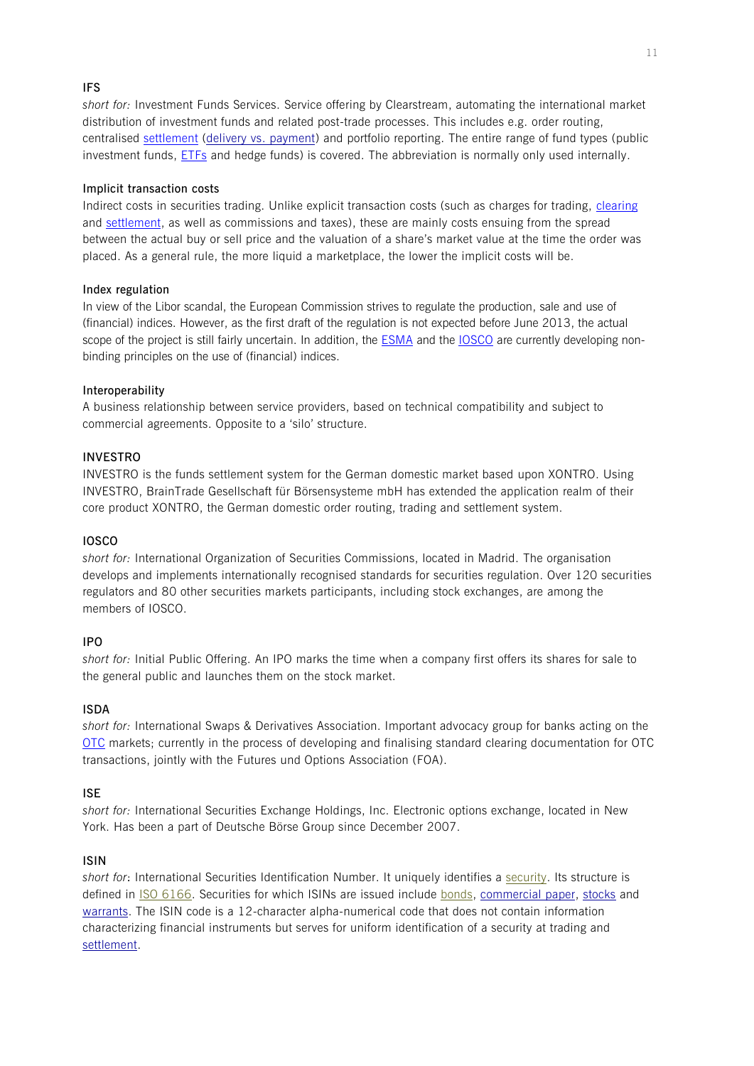# <span id="page-10-3"></span>**IFS**

*short for:* Investment Funds Services. Service offering by Clearstream, automating the international market distribution of investment funds and related post-trade processes. This includes e.g. order routing, centralised [settlement](#page-14-0) [\(delivery vs. payment\)](#page-5-3) and portfolio reporting. The entire range of fund types (public investment funds, [ETFs](#page-7-0) and hedge funds) is covered. The abbreviation is normally only used internally.

## <span id="page-10-4"></span>**Implicit transaction costs**

Indirect costs in securities trading. Unlike explicit transaction costs (such as charges for trading, [clearing](#page-3-0) and [settlement,](#page-14-0) as well as commissions and taxes), these are mainly costs ensuing from the spread between the actual buy or sell price and the valuation of a share's market value at the time the order was placed. As a general rule, the more liquid a marketplace, the lower the implicit costs will be.

## **Index regulation**

In view of the Libor scandal, the European Commission strives to regulate the production, sale and use of (financial) indices. However, as the first draft of the regulation is not expected before June 2013, the actual scope of the project is still fairly uncertain. In addition, the [ESMA](#page-7-1) and the [IOSCO](#page-10-1) are currently developing nonbinding principles on the use of (financial) indices.

## **Interoperability**

A business relationship between service providers, based on technical compatibility and subject to commercial agreements. Opposite to a 'silo' structure.

## **INVESTRO**

INVESTRO is the funds settlement system for the German domestic market based upon XONTRO. Using INVESTRO, BrainTrade Gesellschaft für Börsensysteme mbH has extended the application realm of their core product XONTRO, the German domestic order routing, trading and settlement system.

## <span id="page-10-1"></span>**IOSCO**

*short for:* International Organization of Securities Commissions, located in Madrid. The organisation develops and implements internationally recognised standards for securities regulation. Over 120 securities regulators and 80 other securities markets participants, including stock exchanges, are among the members of IOSCO.

## **IPO**

*short for:* Initial Public Offering. An IPO marks the time when a company first offers its shares for sale to the general public and launches them on the stock market.

## **ISDA**

*short for:* International Swaps & Derivatives Association. Important advocacy group for banks acting on the [OTC](#page-13-0) markets; currently in the process of developing and finalising standard clearing documentation for OTC transactions, jointly with the Futures und Options Association (FOA).

## <span id="page-10-2"></span>**ISE**

*short for:* International Securities Exchange Holdings, Inc. Electronic options exchange, located in New York. Has been a part of Deutsche Börse Group since December 2007.

### <span id="page-10-0"></span>**ISIN**

short for: International Securities Identification Number. It uniquely identifies a [security.](http://en.wikipedia.org/wiki/Security_(finance)) Its structure is defined in [ISO 6166.](http://en.wikipedia.org/wiki/ISO_6166) Securities for which ISINs are issued include [bonds,](http://en.wikipedia.org/wiki/Bond_(finance)) [commercial paper,](http://en.wikipedia.org/wiki/Commercial_paper) [stocks](http://en.wikipedia.org/wiki/Stock) and [warrants.](http://en.wikipedia.org/wiki/Warrant_(finance)) The ISIN code is a 12-character alpha-numerical code that does not contain information characterizing financial instruments but serves for uniform identification of a security at trading and [settlement.](http://en.wikipedia.org/wiki/Settlement_(finance))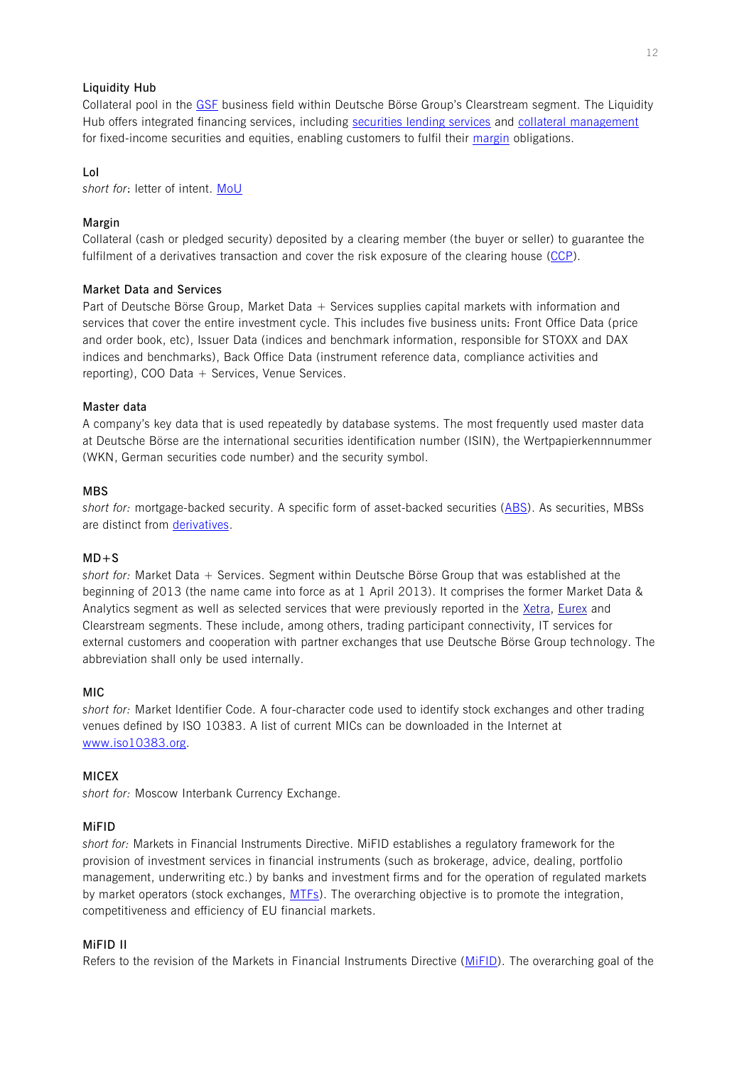## **Liquidity Hub**

Collateral pool in the [GSF](#page-9-2) business field within Deutsche Börse Group's Clearstream segment. The Liquidity Hub offers integrated financing services, including securities [lending](#page-14-1) services and [collateral management](#page-4-2) for fixed-income securities and equities, enabling customers to fulfil their [margin](#page-11-0) obligations.

### <span id="page-11-4"></span>**LoI**

*short for*: letter of intent. [MoU](#page-12-2)

## <span id="page-11-0"></span>**Margin**

Collateral (cash or pledged security) deposited by a clearing member (the buyer or seller) to guarantee the fulfilment of a derivatives transaction and cover the risk exposure of the clearing house [\(CCP\)](#page-2-0).

## **Market Data and Services**

Part of Deutsche Börse Group, Market Data + Services supplies capital markets with information and services that cover the entire investment cycle. This includes five business units: Front Office Data (price and order book, etc), Issuer Data (indices and benchmark information, responsible for STOXX and DAX indices and benchmarks), Back Office Data (instrument reference data, compliance activities and reporting), COO Data  $+$  Services, Venue Services.

## **Master data**

A company's key data that is used repeatedly by database systems. The most frequently used master data at Deutsche Börse are the international securities identification number (ISIN), the Wertpapierkennnummer (WKN, German securities code number) and the security symbol.

## **MBS**

*short for:* mortgage-backed security. A specific form of asset-backed securities [\(ABS\)](#page-0-2). As securities, MBSs are distinct from [derivatives.](#page-5-0)

### <span id="page-11-3"></span>**MD+S**

*short for:* Market Data + Services. Segment within Deutsche Börse Group that was established at the beginning of 2013 (the name came into force as at 1 April 2013). It comprises the former Market Data & Analytics segment as well as selected services that were previously reported in the [Xetra,](#page-16-3) [Eurex](#page-7-4) and Clearstream segments. These include, among others, trading participant connectivity, IT services for external customers and cooperation with partner exchanges that use Deutsche Börse Group technology. The abbreviation shall only be used internally.

### **MIC**

*short for:* Market Identifier Code. A four-character code used to identify stock exchanges and other trading venues defined by ISO 10383. A list of current MICs can be downloaded in the Internet at [www.iso10383.org.](http://www.iso10383.org/)

### **MICEX**

*short for:* Moscow Interbank Currency Exchange.

### <span id="page-11-1"></span>**MiFID**

*short for:* Markets in Financial Instruments Directive. MiFID establishes a regulatory framework for the provision of investment services in financial instruments (such as brokerage, advice, dealing, portfolio management, underwriting etc.) by banks and investment firms and for the operation of regulated markets by market operators (stock exchanges, [MTFs\)](#page-12-1). The overarching objective is to promote the integration, competitiveness and efficiency of EU financial markets.

### <span id="page-11-2"></span>**MiFID II**

Refers to the revision of the Markets in Financial Instruments Directive [\(MiFID\)](#page-11-1). The overarching goal of the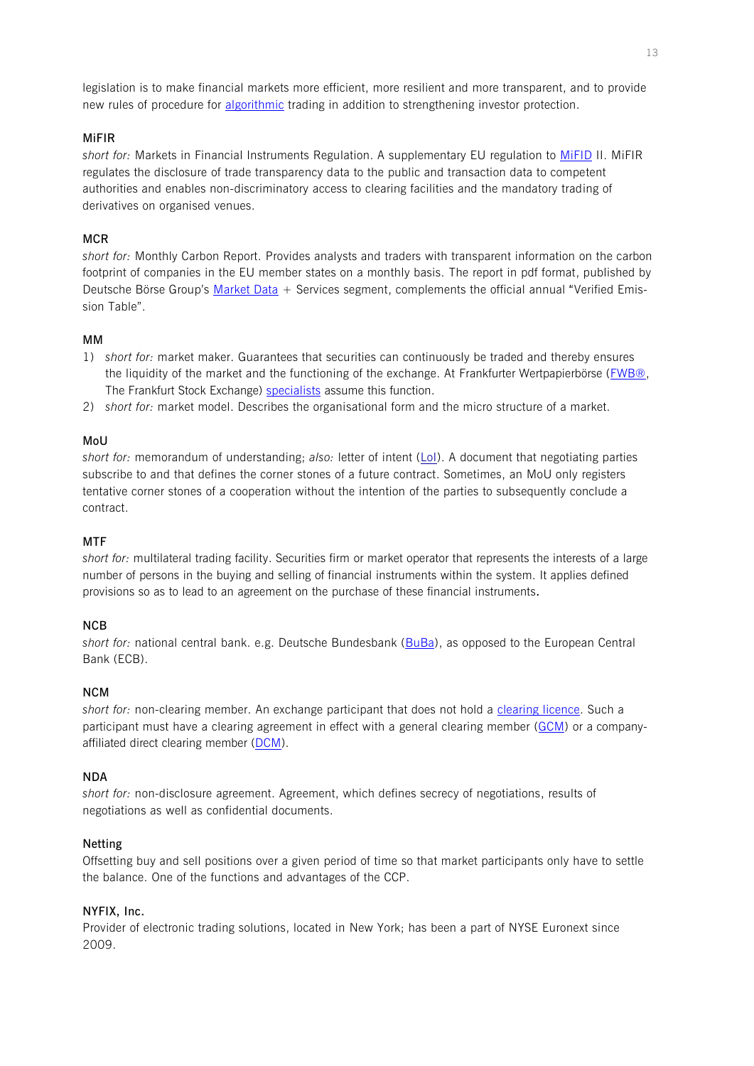legislation is to make financial markets more efficient, more resilient and more transparent, and to provide new rules of procedure for [algorithmic](#page-0-1) trading in addition to strengthening investor protection.

## **MiFIR**

*short for:* Markets in Financial Instruments Regulation. A supplementary EU regulation to [MiFID](#page-11-2) II. MiFIR regulates the disclosure of trade transparency data to the public and transaction data to competent authorities and enables non-discriminatory access to clearing facilities and the mandatory trading of derivatives on organised venues.

# **MCR**

*short for:* Monthly Carbon Report. Provides analysts and traders with transparent information on the carbon footprint of companies in the EU member states on a monthly basis. The report in pdf format, published by Deutsche Börse Group's [Market Data](#page-11-3) + Services segment, complements the official annual "Verified Emission Table".

# **MM**

- 1) *short for:* market maker. Guarantees that securities can continuously be traded and thereby ensures the liquidity of the market and the functioning of the exchange. At Frankfurter Wertpapierbörse [\(FWB®,](#page-8-2) The Frankfurt Stock Exchange) [specialists](#page-14-2) assume this function.
- 2) *short for:* market model. Describes the organisational form and the micro structure of a market.

# <span id="page-12-2"></span>**MoU**

*short for:* memorandum of understanding; *also:* letter of intent [\(LoI\)](#page-11-4). A document that negotiating parties subscribe to and that defines the corner stones of a future contract. Sometimes, an MoU only registers tentative corner stones of a cooperation without the intention of the parties to subsequently conclude a contract.

## <span id="page-12-1"></span>**MTF**

*short for:* multilateral trading facility. Securities firm or market operator that represents the interests of a large number of persons in the buying and selling of financial instruments within the system. It applies defined provisions so as to lead to an agreement on the purchase of these financial instruments**.**

## **NCB**

*short for:* national central bank. e.g. Deutsche Bundesbank [\(BuBa\)](#page-1-0), as opposed to the European Central Bank (ECB).

## **NCM**

*short for:* non-clearing member. An exchange participant that does not hold a [clearing licence.](#page-3-2) Such a participant must have a clearing agreement in effect with a general clearing member [\(GCM\)](#page-9-3) or a companyaffiliated direct clearing member [\(DCM\)](#page-5-4).

## **NDA**

*short for:* non-disclosure agreement. Agreement, which defines secrecy of negotiations, results of negotiations as well as confidential documents.

# <span id="page-12-0"></span>**Netting**

Offsetting buy and sell positions over a given period of time so that market participants only have to settle the balance. One of the functions and advantages of the CCP.

# **NYFIX, Inc.**

Provider of electronic trading solutions, located in New York; has been a part of NYSE Euronext since 2009.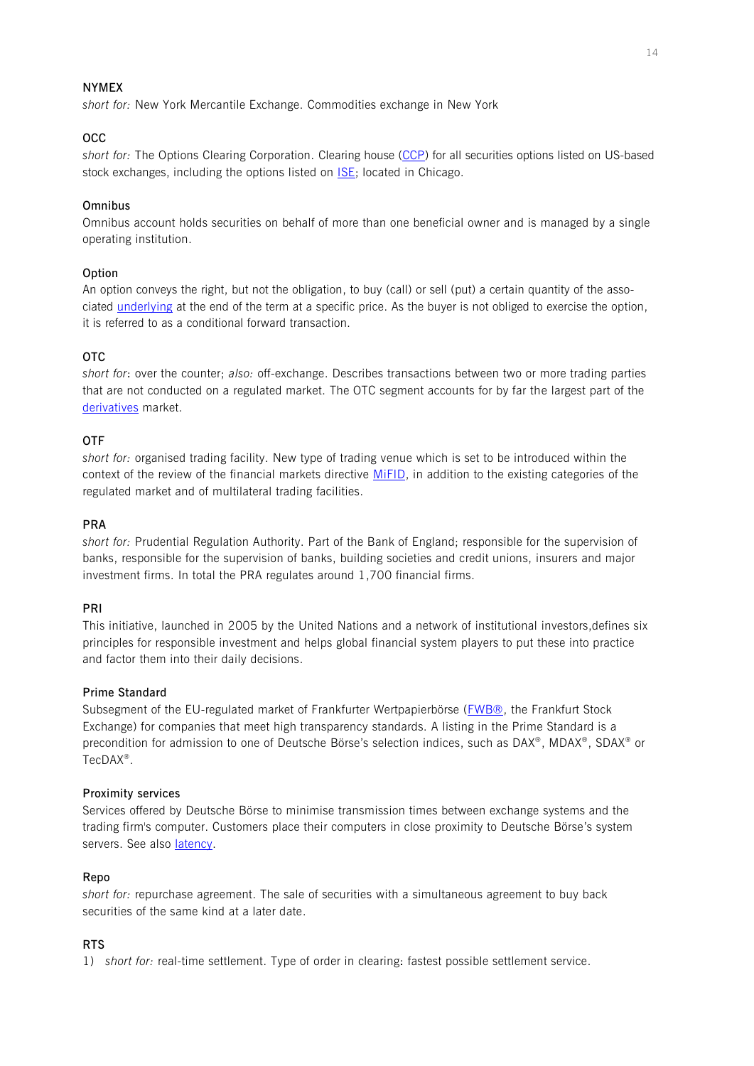## **NYMEX**

*short for:* New York Mercantile Exchange. Commodities exchange in New York

## **OCC**

*short for:* The Options Clearing Corporation. Clearing house [\(CCP\)](#page-2-0) for all securities options listed on US-based stock exchanges, including the options listed on  $|SE|$ ; located in Chicago.

## **Omnibus**

Omnibus account holds securities on behalf of more than one beneficial owner and is managed by a single operating institution.

## **[Option](#page-0-3)**

An option conveys the right, but not the obligation, to buy (call) or sell (put) a certain quantity of the associated [underlying](#page-16-0) at the end of the term at a specific price. As the buyer is not obliged to exercise the option, it is referred to as a conditional forward transaction.

# <span id="page-13-0"></span>**OTC**

*short for*: over the counter; *also:* off-exchange. Describes transactions between two or more trading parties that are not conducted on a regulated market. The OTC segment accounts for by far the largest part of the [derivatives](#page-5-0) market.

## **OTF**

*short for:* organised trading facility. New type of trading venue which is set to be introduced within the context of the review of the financial markets directive [MiFID,](#page-11-1) in addition to the existing categories of the regulated market and of multilateral trading facilities.

## <span id="page-13-2"></span>**PRA**

*short for:* Prudential Regulation Authority. Part of the Bank of England; responsible for the supervision of banks, responsible for the supervision of banks, building societies and credit unions, insurers and major investment firms. In total the PRA regulates around 1,700 financial firms.

## **PRI**

This initiative, launched in 2005 by the United Nations and a network of institutional investors,defines six principles for responsible investment and helps global financial system players to put these into practice and factor them into their daily decisions.

### **Prime Standard**

Subsegment of the EU-regulated market of Frankfurter Wertpapierbörse [\(FWB®,](#page-8-2) the Frankfurt Stock Exchange) for companies that meet high transparency standards. A listing in the Prime Standard is a precondition for admission to one of Deutsche Börse's selection indices, such as DAX®, MDAX®, SDAX® or TecDAX® .

### **Proximity services**

Services offered by Deutsche Börse to minimise transmission times between exchange systems and the trading firm's computer. Customers place their computers in close proximity to Deutsche Börse's system servers. See also latency.

### <span id="page-13-1"></span>**Repo**

*short for:* repurchase agreement. The sale of securities with a simultaneous agreement to buy back securities of the same kind at a later date.

## **RTS**

1) *short for:* real-time settlement. Type of order in clearing: fastest possible settlement service.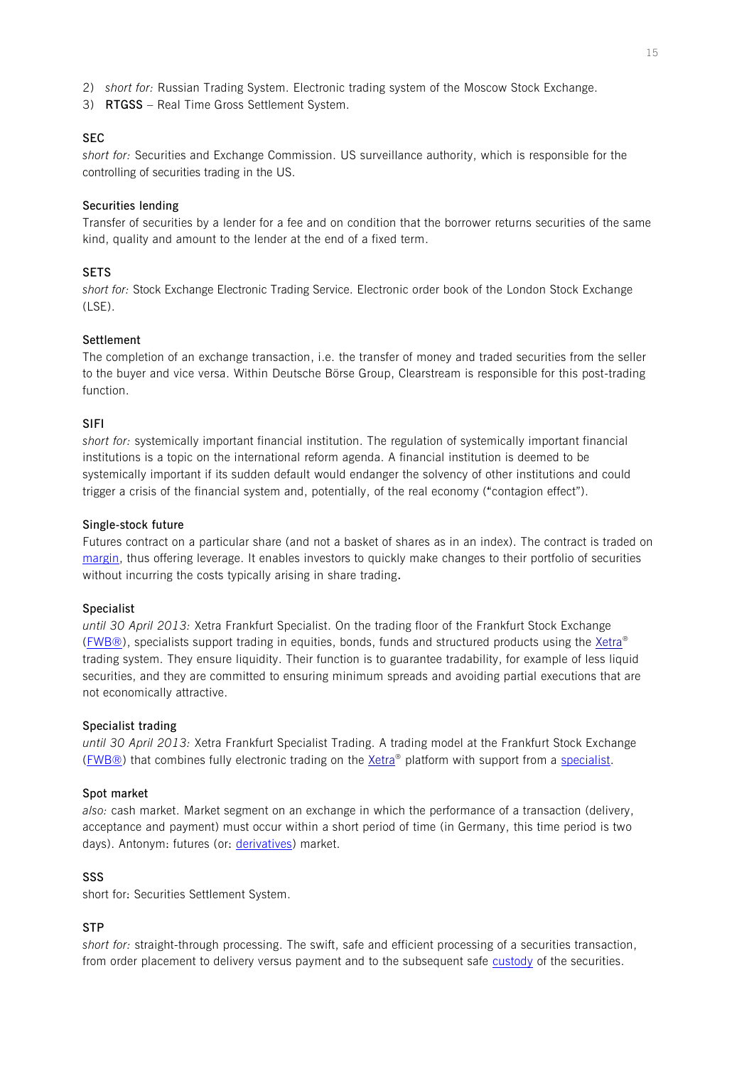- 2) *short for:* Russian Trading System. Electronic trading system of the Moscow Stock Exchange.
- 3) **RTGSS**  Real Time Gross Settlement System.

### **SEC**

*short for:* Securities and Exchange Commission. US surveillance authority, which is responsible for the controlling of securities trading in the US.

### <span id="page-14-1"></span>**Securities lending**

Transfer of securities by a lender for a fee and on condition that the borrower returns securities of the same kind, quality and amount to the lender at the end of a fixed term.

## **SETS**

*short for:* Stock Exchange Electronic Trading Service. Electronic order book of the London Stock Exchange  $(1 SF)$ .

## <span id="page-14-0"></span>**Settlement**

The completion of an exchange transaction, i.e. the transfer of money and traded securities from the seller to the buyer and vice versa. Within Deutsche Börse Group, Clearstream is responsible for this post-trading function.

## **SIFI**

*short for:* systemically important financial institution. The regulation of systemically important financial institutions is a topic on the international reform agenda. A financial institution is deemed to be systemically important if its sudden default would endanger the solvency of other institutions and could trigger a crisis of the financial system and, potentially, of the real economy ("contagion effect").

### **Single-stock future**

Futures contract on a particular share (and not a basket of shares as in an index). The contract is traded on [margin,](#page-11-0) thus offering leverage. It enables investors to quickly make changes to their portfolio of securities without incurring the costs typically arising in share trading**.**

### <span id="page-14-2"></span>**Specialist**

*until 30 April 2013:* Xetra Frankfurt Specialist. On the trading floor of the Frankfurt Stock Exchange [\(FWB®\)](#page-8-2), specialists support trading in equities, bonds, funds and structured products using the [Xetra](#page-16-3)® trading system. They ensure liquidity. Their function is to guarantee tradability, for example of less liquid securities, and they are committed to ensuring minimum spreads and avoiding partial executions that are not economically attractive.

### **Specialist trading**

*until 30 April 2013:* Xetra Frankfurt Specialist Trading. A trading model at the Frankfurt Stock Exchange [\(FWB®\)](#page-8-2) that combines fully electronic trading on the [Xetra](#page-16-3)<sup>®</sup> platform with support from a [specialist.](#page-14-2)

### **Spot market**

*also:* cash market. Market segment on an exchange in which the performance of a transaction (delivery, acceptance and payment) must occur within a short period of time (in Germany, this time period is two days). Antonym: futures (or: [derivatives\)](#page-5-0) market.

### **SSS**

short for: Securities Settlement System.

### **STP**

*short for:* straight-through processing. The swift, safe and efficient processing of a securities transaction, from order placement to delivery versus payment and to the subsequent safe [custody](#page-5-1) of the securities.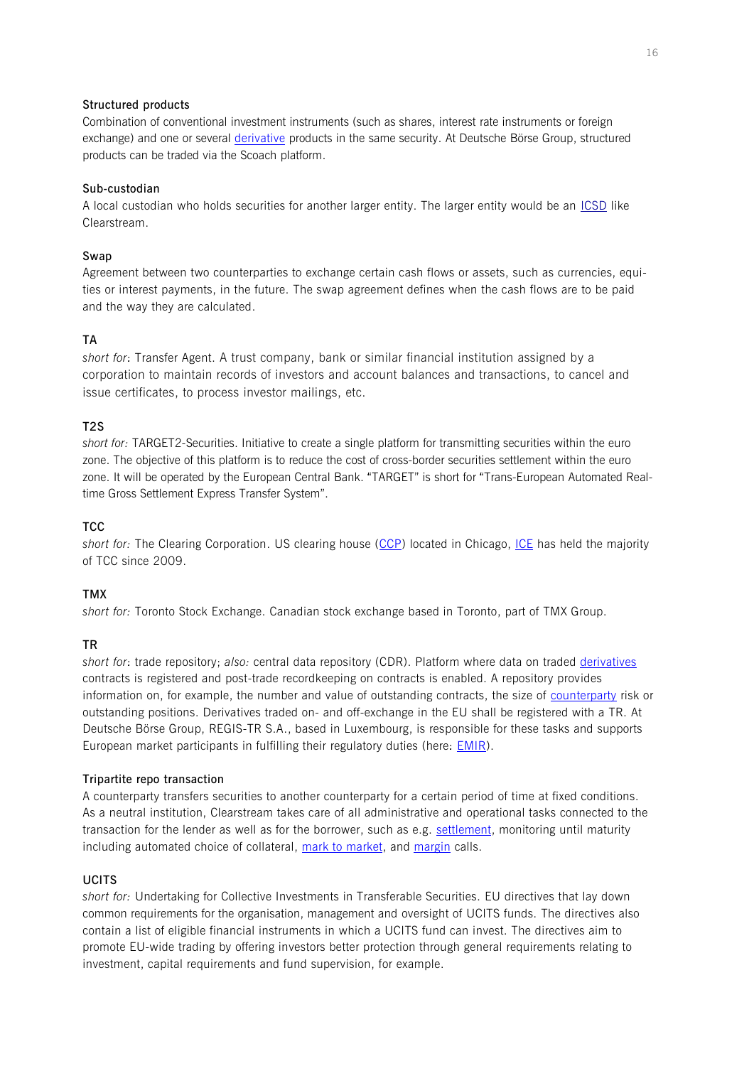## **Structured products**

Combination of conventional investment instruments (such as shares, interest rate instruments or foreign exchange) and one or several [derivative](#page-5-0) products in the same security. At Deutsche Börse Group, structured products can be traded via the Scoach platform.

# **Sub-custodian**

A local custodian who holds securities for another larger entity. The larger entity would be an [ICSD](#page-9-4) like Clearstream.

# <span id="page-15-1"></span>**Swap**

Agreement between two counterparties to exchange certain cash flows or assets, such as currencies, equities or interest payments, in the future. The swap agreement defines when the cash flows are to be paid and the way they are calculated.

# **TA**

*short for*: Transfer Agent. A trust company, bank or similar financial institution assigned by a corporation to maintain records of investors and account balances and transactions, to cancel and issue certificates, to process investor mailings, etc.

# **T2S**

*short for:* TARGET2-Securities. Initiative to create a single platform for transmitting securities within the euro zone. The objective of this platform is to reduce the cost of cross-border securities settlement within the euro zone. It will be operated by the European Central Bank. "TARGET" is short for "Trans-European Automated Realtime Gross Settlement Express Transfer System".

# **TCC**

*short for:* The Clearing Corporation. US clearing house [\(CCP\)](#page-2-0) located in Chicago, [ICE](#page-9-0) has held the majority of TCC since 2009.

# **TMX**

*short for:* Toronto Stock Exchange. Canadian stock exchange based in Toronto, part of TMX Group.

# <span id="page-15-0"></span>**TR**

*short for*: trade repository; *also:* central data repository (CDR). Platform where data on traded [derivatives](#page-5-0) contracts is registered and post-trade recordkeeping on contracts is enabled. A repository provides information on, for example, the number and value of outstanding contracts, the size of [counterparty](#page-4-1) risk or outstanding positions. Derivatives traded on- and off-exchange in the EU shall be registered with a TR. At Deutsche Börse Group, REGIS-TR S.A., based in Luxembourg, is responsible for these tasks and supports European market participants in fulfilling their regulatory duties (here: [EMIR\)](#page-6-0).

## <span id="page-15-2"></span>**Tripartite repo transaction**

A counterparty transfers securities to another counterparty for a certain period of time at fixed conditions. As a neutral institution, Clearstream takes care of all administrative and operational tasks connected to the transaction for the lender as well as for the borrower, such as e.g. [settlement,](#page-14-0) monitoring until maturity including automated choice of collateral, mark to market, and [margin](#page-11-0) calls.

# **UCITS**

*short for:* Undertaking for Collective Investments in Transferable Securities. EU directives that lay down common requirements for the organisation, management and oversight of UCITS funds. The directives also contain a list of eligible financial instruments in which a UCITS fund can invest. The directives aim to promote EU-wide trading by offering investors better protection through general requirements relating to investment, capital requirements and fund supervision, for example.